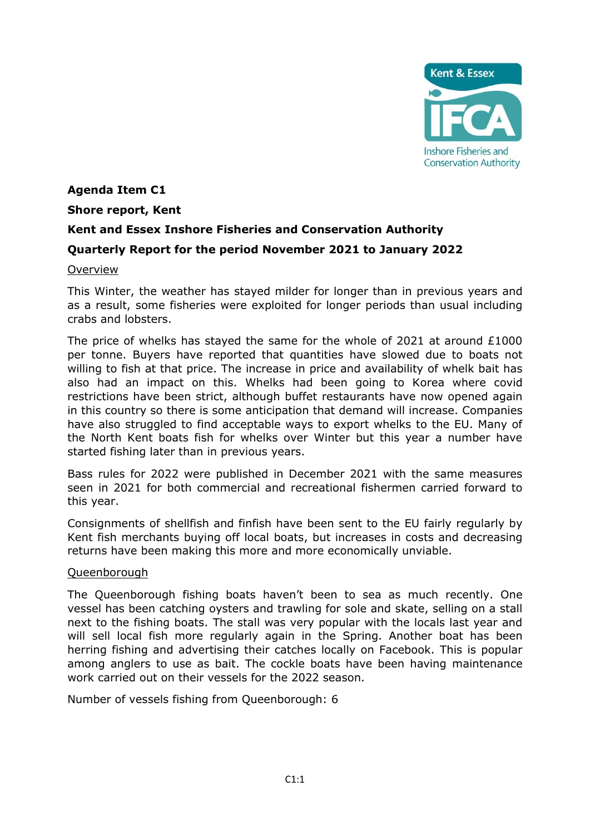

## **Agenda Item C1**

### **Shore report, Kent**

# **Kent and Essex Inshore Fisheries and Conservation Authority**

## **Quarterly Report for the period November 2021 to January 2022**

### Overview

This Winter, the weather has stayed milder for longer than in previous years and as a result, some fisheries were exploited for longer periods than usual including crabs and lobsters.

The price of whelks has stayed the same for the whole of 2021 at around £1000 per tonne. Buyers have reported that quantities have slowed due to boats not willing to fish at that price. The increase in price and availability of whelk bait has also had an impact on this. Whelks had been going to Korea where covid restrictions have been strict, although buffet restaurants have now opened again in this country so there is some anticipation that demand will increase. Companies have also struggled to find acceptable ways to export whelks to the EU. Many of the North Kent boats fish for whelks over Winter but this year a number have started fishing later than in previous years.

Bass rules for 2022 were published in December 2021 with the same measures seen in 2021 for both commercial and recreational fishermen carried forward to this year.

Consignments of shellfish and finfish have been sent to the EU fairly regularly by Kent fish merchants buying off local boats, but increases in costs and decreasing returns have been making this more and more economically unviable.

#### Queenborough

The Queenborough fishing boats haven't been to sea as much recently. One vessel has been catching oysters and trawling for sole and skate, selling on a stall next to the fishing boats. The stall was very popular with the locals last year and will sell local fish more regularly again in the Spring. Another boat has been herring fishing and advertising their catches locally on Facebook. This is popular among anglers to use as bait. The cockle boats have been having maintenance work carried out on their vessels for the 2022 season.

Number of vessels fishing from Queenborough: 6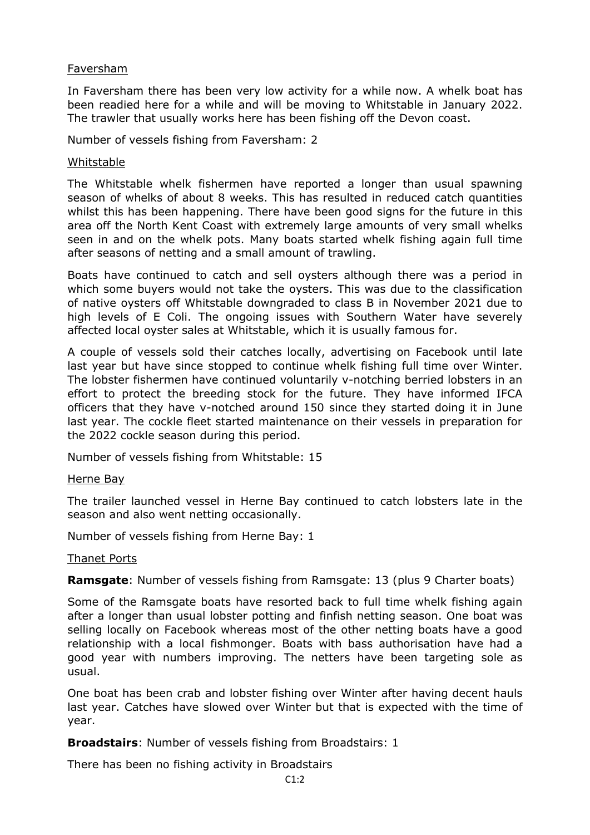#### Faversham

In Faversham there has been very low activity for a while now. A whelk boat has been readied here for a while and will be moving to Whitstable in January 2022. The trawler that usually works here has been fishing off the Devon coast.

Number of vessels fishing from Faversham: 2

#### Whitstable

The Whitstable whelk fishermen have reported a longer than usual spawning season of whelks of about 8 weeks. This has resulted in reduced catch quantities whilst this has been happening. There have been good signs for the future in this area off the North Kent Coast with extremely large amounts of very small whelks seen in and on the whelk pots. Many boats started whelk fishing again full time after seasons of netting and a small amount of trawling.

Boats have continued to catch and sell oysters although there was a period in which some buyers would not take the oysters. This was due to the classification of native oysters off Whitstable downgraded to class B in November 2021 due to high levels of E Coli. The ongoing issues with Southern Water have severely affected local oyster sales at Whitstable, which it is usually famous for.

A couple of vessels sold their catches locally, advertising on Facebook until late last year but have since stopped to continue whelk fishing full time over Winter. The lobster fishermen have continued voluntarily v-notching berried lobsters in an effort to protect the breeding stock for the future. They have informed IFCA officers that they have v-notched around 150 since they started doing it in June last year. The cockle fleet started maintenance on their vessels in preparation for the 2022 cockle season during this period.

Number of vessels fishing from Whitstable: 15

#### Herne Bay

The trailer launched vessel in Herne Bay continued to catch lobsters late in the season and also went netting occasionally.

Number of vessels fishing from Herne Bay: 1

#### Thanet Ports

**Ramsgate**: Number of vessels fishing from Ramsgate: 13 (plus 9 Charter boats)

Some of the Ramsgate boats have resorted back to full time whelk fishing again after a longer than usual lobster potting and finfish netting season. One boat was selling locally on Facebook whereas most of the other netting boats have a good relationship with a local fishmonger. Boats with bass authorisation have had a good year with numbers improving. The netters have been targeting sole as usual.

One boat has been crab and lobster fishing over Winter after having decent hauls last year. Catches have slowed over Winter but that is expected with the time of year.

**Broadstairs**: Number of vessels fishing from Broadstairs: 1

There has been no fishing activity in Broadstairs